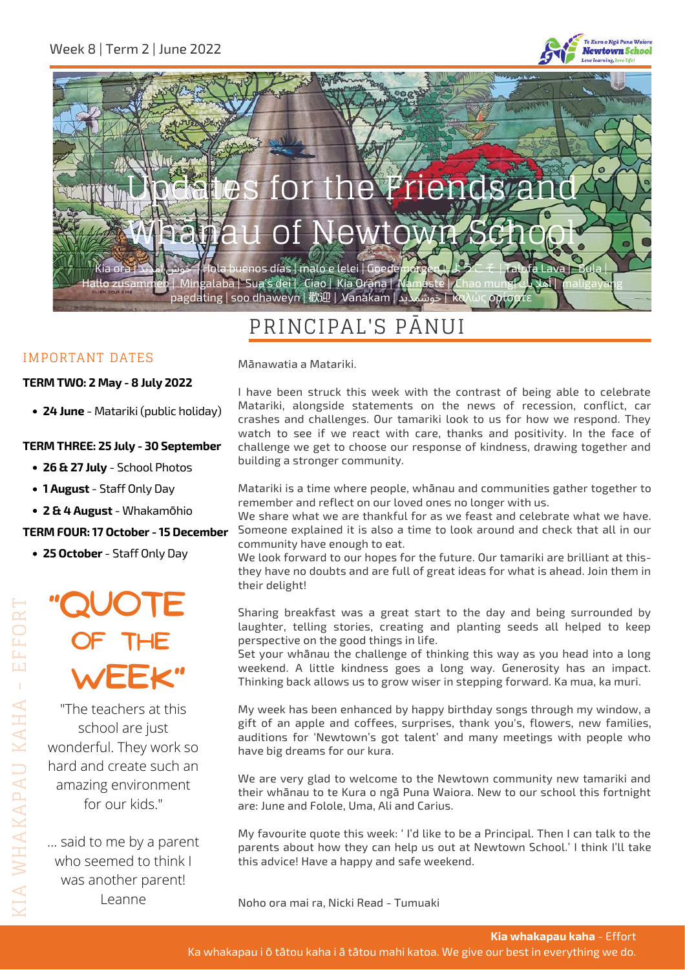



## PRINCIPAL'S PĀNUI

#### IMPORTANT DATES

#### **TERM TWO: 2 May - 8 July 2022**

**24 June** - Matariki (public holiday)

#### **TERM THREE: 25 July - 30 September**

- **26 & 27 July** School Photos
- **1 August** Staff Only Day
- **2 & 4 August** Whakamōhio

#### **TERM FOUR: 17 October - 15 December**

**25 October** - Staff Only Day

# **"Quote of the Week"**

"The teachers at this school are just wonderful. They work so hard and create such an amazing environment for our kids."

... said to me by a parent who seemed to think I was another parent! Leanne

Mānawatia a Matariki.

I have been struck this week with the contrast of being able to celebrate Matariki, alongside statements on the news of recession, conflict, car crashes and challenges. Our tamariki look to us for how we respond. They watch to see if we react with care, thanks and positivity. In the face of challenge we get to choose our response of kindness, drawing together and building a stronger community.

Matariki is a time where people, whānau and communities gather together to remember and reflect on our loved ones no longer with us.

We share what we are thankful for as we feast and celebrate what we have. Someone explained it is also a time to look around and check that all in our community have enough to eat.

We look forward to our hopes for the future. Our tamariki are brilliant at thisthey have no doubts and are full of great ideas for what is ahead. Join them in their delight!

Sharing breakfast was a great start to the day and being surrounded by laughter, telling stories, creating and planting seeds all helped to keep perspective on the good things in life.

Set your whānau the challenge of thinking this way as you head into a long weekend. A little kindness goes a long way. Generosity has an impact. Thinking back allows us to grow wiser in stepping forward. Ka mua, ka muri.

My week has been enhanced by happy birthday songs through my window, a gift of an apple and coffees, surprises, thank you's, flowers, new families, auditions for 'Newtown's got talent' and many meetings with people who have big dreams for our kura.

We are very glad to welcome to the Newtown community new tamariki and their whānau to te Kura o ngā Puna Waiora. New to our school this fortnight are: June and Folole, Uma, Ali and Carius.

My favourite quote this week: ' I'd like to be a Principal. Then I can talk to the parents about how they can help us out at Newtown School.' I think I'll take this advice! Have a happy and safe weekend.

Noho ora mai ra, Nicki Read - Tumuaki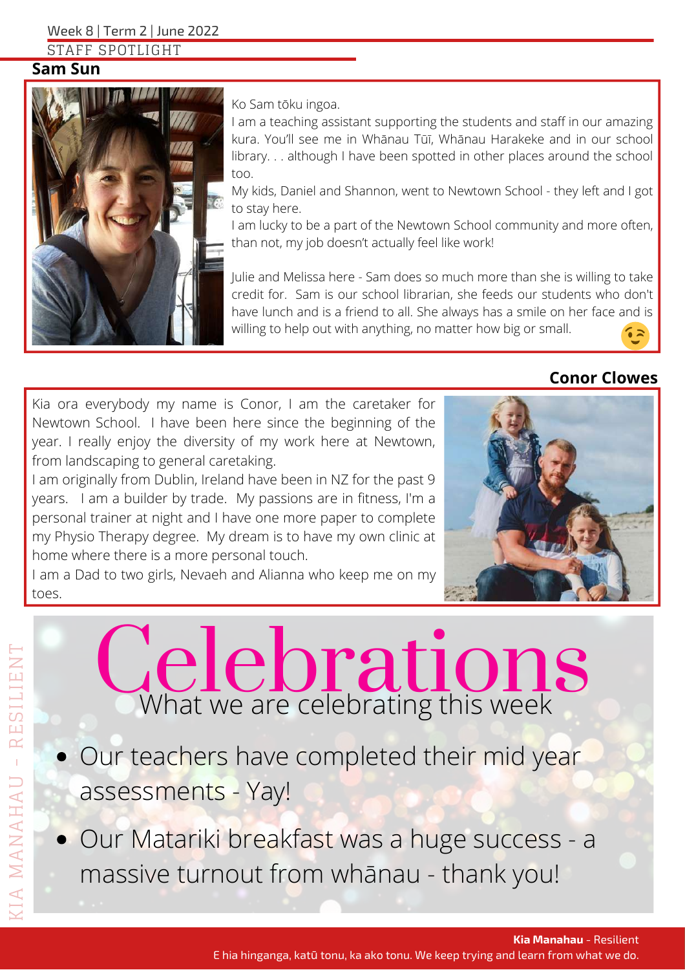Week 8 | Term 2 | June 2022

STAFF SPOTLIGHT

#### **Sam Sun**



Ko Sam tōku ingoa.

I am a teaching assistant supporting the students and staff in our amazing kura. You'll see me in Whānau Tūī, Whānau Harakeke and in our school library. . . although I have been spotted in other places around the school too.

My kids, Daniel and Shannon, went to Newtown School - they left and I got to stay here.

I am lucky to be a part of the Newtown School community and more often, than not, my job doesn't actually feel like work!

Julie and Melissa here - Sam does so much more than she is willing to take credit for. Sam is our school librarian, she feeds our students who don't have lunch and is a friend to all. She always has a smile on her face and is willing to help out with anything, no matter how big or small.

## **Conor Clowes**

Kia ora everybody my name is Conor, I am the caretaker for Newtown School. I have been here since the beginning of the year. I really enjoy the diversity of my work here at Newtown, from landscaping to general caretaking.

I am originally from Dublin, Ireland have been in NZ for the past 9 years. I am a builder by trade. My passions are in fitness, I'm a personal trainer at night and I have one more paper to complete my Physio Therapy degree. My dream is to have my own clinic at home where there is a more personal touch.

I am a Dad to two girls, Nevaeh and Alianna who keep me on my toes.



# Celebrations

- Our teachers have completed their mid year assessments - Yay!
- Our Matariki breakfast was a huge success a massive turnout from whānau - thank you!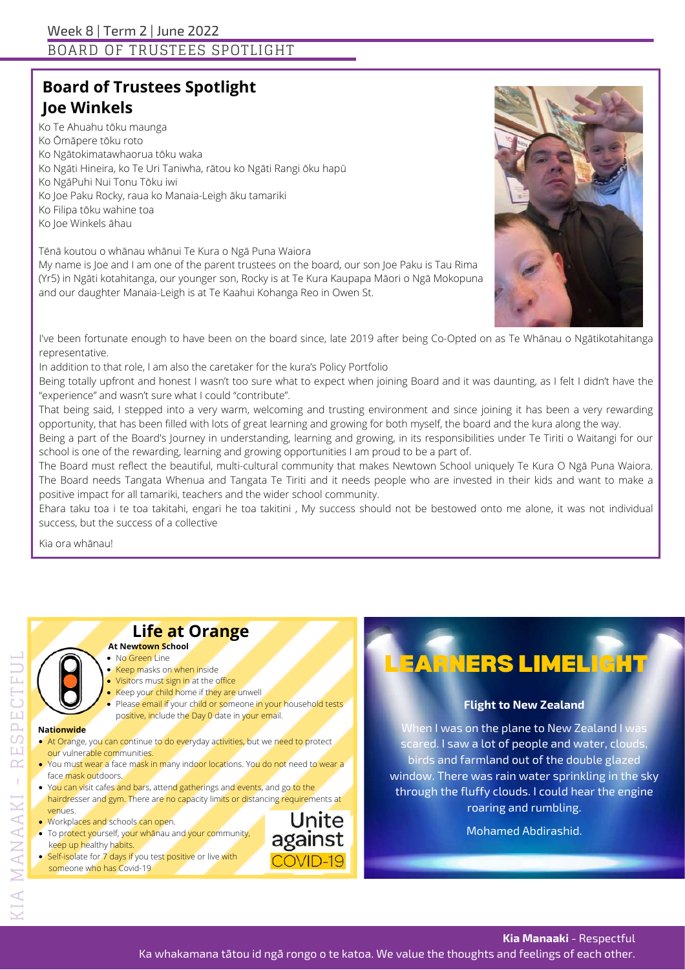## **Board of Trustees Spotlight Joe Winkels**

Ko Te Ahuahu tōku maunga Ko Ōmāpere tōku roto Ko Ngātokimatawhaorua tōku waka Ko Ngāti Hineira, ko Te Uri Taniwha, rātou ko Ngāti Rangi ōku hapū Ko NgāPuhi Nui Tonu Tōku iwi Ko Joe Paku Rocky, raua ko Manaia-Leigh āku tamariki Ko Filipa tōku wahine toa Ko Joe Winkels āhau

Tēnā koutou o whānau whānui Te Kura o Ngā Puna Waiora

My name is Joe and I am one of the parent trustees on the board, our son Joe Paku is Tau Rima (Yr5) in Ngāti kotahitanga, our younger son, Rocky is at Te Kura Kaupapa Māori o Ngā Mokopuna and our daughter Manaia-Leigh is at Te Kaahui Kohanga Reo in Owen St.



I've been fortunate enough to have been on the board since, late 2019 after being Co-Opted on as Te Whānau o Ngātikotahitanga representative.

In addition to that role, I am also the caretaker for the kura's Policy Portfolio

Being totally upfront and honest I wasn't too sure what to expect when joining Board and it was daunting, as I felt I didn't have the "experience" and wasn't sure what I could "contribute".

That being said, I stepped into a very warm, welcoming and trusting environment and since joining it has been a very rewarding opportunity, that has been filled with lots of great learning and growing for both myself, the board and the kura along the way.

Being a part of the Board's Journey in understanding, learning and growing, in its responsibilities under Te Tiriti o Waitangi for our school is one of the rewarding, learning and growing opportunities Iam proud to be a part of.

The Board must reflect the beautiful, multi-cultural community that makes Newtown School uniquely Te Kura O Ngā Puna Waiora. The Board needs Tangata Whenua and Tangata Te Tiriti and it needs people who are invested in their kids and want to make a positive impact for all tamariki, teachers and the wider school community.

Ehara taku toa i te toa takitahi, engari he toa takitini , My success should not be bestowed onto me alone, it was not individual success, but the success of a collective

Kia ora whānau!

## **Life at Orange**

#### No Green Line **At Newtown School**

- **Keep masks on when inside**
- Visitors must sign in at the office
- Keep your child home if they are unwell
- Please email if your child or someone in your household tests positive, include the Day 0 date in your email.

#### **Nationwide**

- **At Orange, you can continue to do everyday activities, but we need to protect** our vulnerable communities.
- You must wear a face mask in many indoor locations. You do not need to wear a face mask outdoors.
- You can visit cafes and bars, attend gatherings and events, and go to the hairdresser and gym. There are no capacity limits or distancing requirements at venues.
- **Workplaces and schools can open.**
- To protect yourself, your whānau and your community, keep up healthy habits.
- **Self-isol**ate for 7 days if you test positive or live with someone who has Covid-19

# EARNERS LIMELIGHT

#### **Flight to New Zealand**

When I was on the plane to New Zealand I was scared. I saw a lot of people and water, clouds, birds and farmland out of the double glazed window. There was rain water sprinkling in the sky through the fluffy clouds. I could hear the engine roaring and rumbling.

Mohamed Abdirashid.

E $\overline{\omega}$ 

 $\Box$ 

E $\cup$  $\mapsto$ F $\Box$  $\overline{\phantom{0}}$ 

**Kia Manaaki** - Respectful

Ka whakamana tātou id ngā rongo o te katoa. We value the thoughts and feelings of each other.

Unite against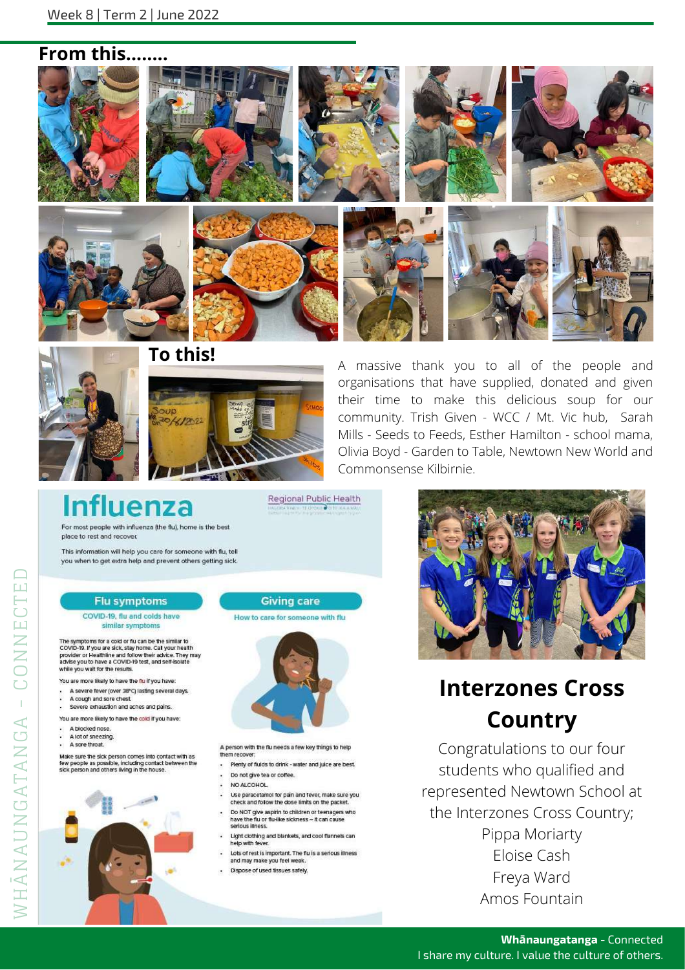### From this..

















A massive thank you to all of the people and organisations that have supplied, donated and given their time to make this delicious soup for our community. Trish Given - WCC / Mt. Vic hub, Sarah Mills - Seeds to Feeds, Esther Hamilton - school mama, Olivia Boyd - Garden to Table, Newtown New World and Commonsense Kilbirnie.

Regional Public Health

**Influenza** 

For most people with influenza (the flu), home is the best place to rest and recover

This information will help you care for someone with flu, tell you when to get extra help and prevent others getting sick.

#### **Flu symptoms**

COVID-19, flu and colds have similar symptoms

The symptoms for a cold or flu can be the similar to<br>COVID-19. If you are slok, stay home. Call your health<br>provider or Healthline and follow their advice. They may<br>advise you to have a COVID-19 test, and self-isolate<br>whil

You are more likely to have the flu if you have

- A severe fever (over 38°C) lasting several days.
- A cough and sore chest.
- Severe exhaustion and aches and pains.
- You are more likely to have the cold if you have:
- A blocked nose.
- A lot of sneezing. A sore throat.

WHANAUNGATANGA - CONNECTE

Make sure the sick person comes into contact with as<br>few people as possible, including contact between the<br>sick person and others ilving in the house.



#### **Giving care**

#### How to care for someone with flu



A person with the flu needs a few key things to help them recover

- Plenty of fluids to drink water and juice are best.
- Do not give tea or coffee.
- NO ALCOHOL
- Use paracetamol for pain and fever, make sure you check and follow the dose limits on the packet.
- Do NOT give aspirin to children or teenagers who have the flu or flu-like sickness - it can cause<br>serious lilness.
- Light clothing and blankets, and cool flannels can<br>help with fever.
- Lots of rest is important. The flu is a serious illness and may make you feel weak
- Dispose of used tissues safely.



# **Interzones Cross Country**

Congratulations to our four students who qualified and represented Newtown School at the Interzones Cross Country; Pippa Moriarty Eloise Cash Freya Ward Amos Fountain